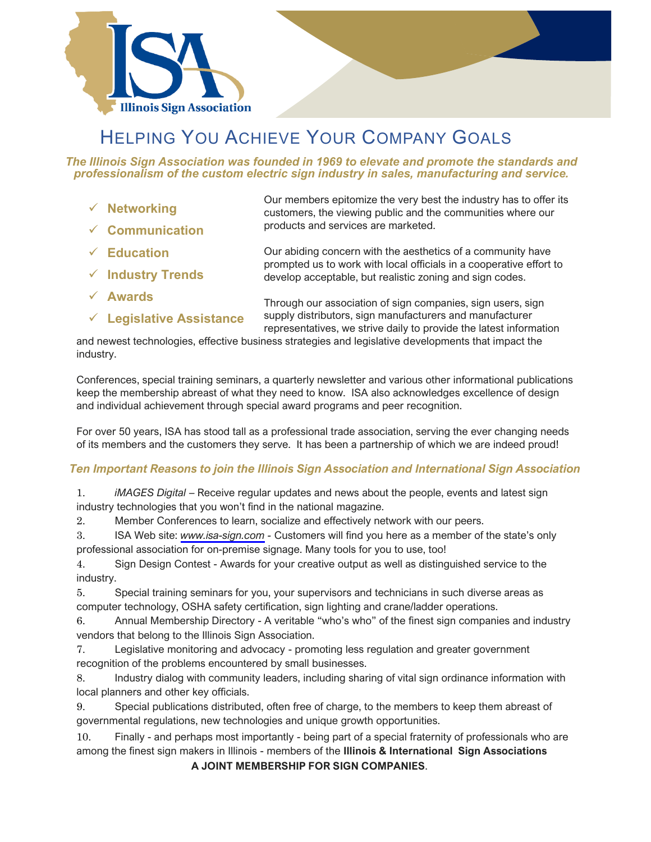



# HELPING YOU ACHIEVE YOUR COMPANY GOALS

*The Illinois Sign Association was founded in 1969 to elevate and promote the standards and professionalism of the custom electric sign industry in sales, manufacturing and service.*

- ✓ **Networking**
- ✓ **Communication**

✓ **Education**

✓ **Industry Trends**

- ✓ **Awards**
- **Legislative Assistance**

Our members epitomize the very best the industry has to offer its customers, the viewing public and the communities where our products and services are marketed.

Our abiding concern with the aesthetics of a community have prompted us to work with local officials in a cooperative effort to develop acceptable, but realistic zoning and sign codes.

Through our association of sign companies, sign users, sign supply distributors, sign manufacturers and manufacturer representatives, we strive daily to provide the latest information

and newest technologies, effective business strategies and legislative developments that impact the industry.

Conferences, special training seminars, a quarterly newsletter and various other informational publications keep the membership abreast of what they need to know. ISA also acknowledges excellence of design and individual achievement through special award programs and peer recognition.

For over 50 years, ISA has stood tall as a professional trade association, serving the ever changing needs of its members and the customers they serve. It has been a partnership of which we are indeed proud!

## *Ten Important Reasons to join the Illinois Sign Association and International Sign Association*

1. *iMAGES Digital* – Receive regular updates and news about the people, events and latest sign industry technologies that you won't find in the national magazine.

2. Member Conferences to learn, socialize and effectively network with our peers.

3. ISA Web site: *[www.isa-sign.com](https://www.isa-sign.com/) -* Customers will find you here as a member of the state's only professional association for on-premise signage. Many tools for you to use, too!

4. Sign Design Contest - Awards for your creative output as well as distinguished service to the industry.

5. Special training seminars for you, your supervisors and technicians in such diverse areas as computer technology, OSHA safety certification, sign lighting and crane/ladder operations.

6. Annual Membership Directory - A veritable "who's who" of the finest sign companies and industry vendors that belong to the Illinois Sign Association.

7. Legislative monitoring and advocacy - promoting less regulation and greater government recognition of the problems encountered by small businesses.

8. Industry dialog with community leaders, including sharing of vital sign ordinance information with local planners and other key officials.

9. Special publications distributed, often free of charge, to the members to keep them abreast of governmental regulations, new technologies and unique growth opportunities.

10. Finally - and perhaps most importantly - being part of a special fraternity of professionals who are among the finest sign makers in Illinois - members of the **Illinois & International Sign Associations**

**A JOINT MEMBERSHIP FOR SIGN COMPANIES**.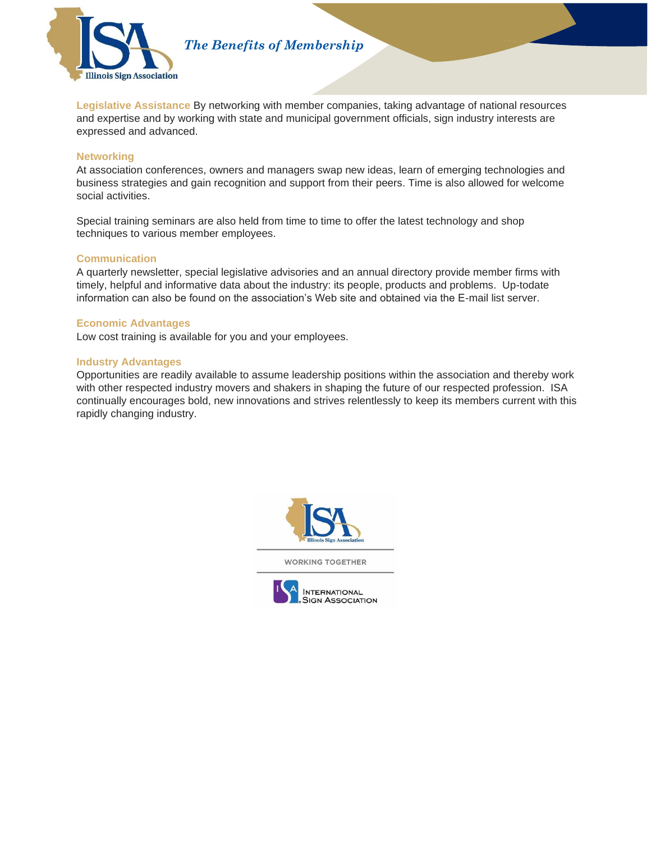

*The Benefits of Membership* 

**Legislative Assistance** By networking with member companies, taking advantage of national resources and expertise and by working with state and municipal government officials, sign industry interests are expressed and advanced.

#### **Networking**

At association conferences, owners and managers swap new ideas, learn of emerging technologies and business strategies and gain recognition and support from their peers. Time is also allowed for welcome social activities.

Special training seminars are also held from time to time to offer the latest technology and shop techniques to various member employees.

#### **Communication**

A quarterly newsletter, special legislative advisories and an annual directory provide member firms with timely, helpful and informative data about the industry: its people, products and problems. Up-todate information can also be found on the association's Web site and obtained via the E-mail list server.

#### **Economic Advantages**

Low cost training is available for you and your employees.

#### **Industry Advantages**

Opportunities are readily available to assume leadership positions within the association and thereby work with other respected industry movers and shakers in shaping the future of our respected profession. ISA continually encourages bold, new innovations and strives relentlessly to keep its members current with this rapidly changing industry.



**WORKING TOGETHER** 

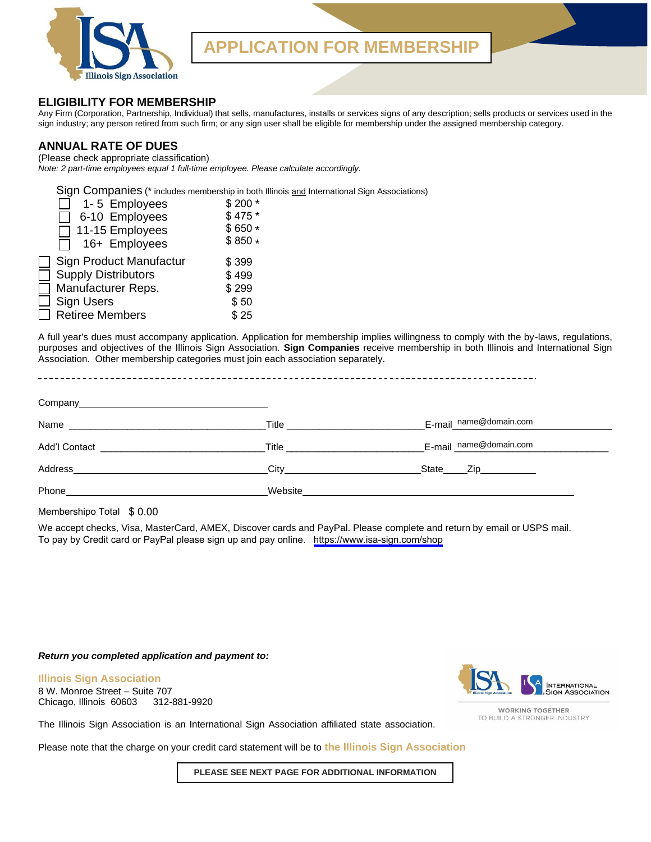

## **APPLICATION FOR MEMBERSHIP**

#### **ELIGIBILITY FOR MEMBERSHIP**

Any Firm (Corporation, Partnership, Individual) that sells, manufactures, installs or services signs of any description; sells products or services used in the sign industry; any person retired from such firm; or any sign user shall be eligible for membership under the assigned membership category.

#### **ANNUAL RATE OF DUES**

(Please check appropriate classification) *Note: 2 part-time employees equal 1 full-time employee. Please calculate accordingly.*

Sign Companies (\* includes membership in both Illinois and International Sign Associations)

| 1-5 Employees              | \$200 * |
|----------------------------|---------|
| 6-10 Employees             | $$475*$ |
| 11-15 Employees            | $$650*$ |
| 16+ Employees              | $$850*$ |
| Sign Product Manufactur    | \$399   |
| <b>Supply Distributors</b> | \$499   |
| Manufacturer Reps.         | \$299   |
| <b>Sign Users</b>          | \$50    |
| <b>Retiree Members</b>     | \$25    |

| 1-5 Employees                                                                                                                                                                                                                      | $$200*$                                                                                                                                                                                                                            |                        |
|------------------------------------------------------------------------------------------------------------------------------------------------------------------------------------------------------------------------------------|------------------------------------------------------------------------------------------------------------------------------------------------------------------------------------------------------------------------------------|------------------------|
| 6-10 Employees                                                                                                                                                                                                                     | \$475 *                                                                                                                                                                                                                            |                        |
| 11-15 Employees                                                                                                                                                                                                                    | $$650*$                                                                                                                                                                                                                            |                        |
| 16+ Employees                                                                                                                                                                                                                      | $$850*$                                                                                                                                                                                                                            |                        |
| Sign Product Manufactur                                                                                                                                                                                                            | \$399                                                                                                                                                                                                                              |                        |
| <b>Supply Distributors</b><br>П                                                                                                                                                                                                    | \$499                                                                                                                                                                                                                              |                        |
| $\Box$<br>Manufacturer Reps.                                                                                                                                                                                                       | \$299                                                                                                                                                                                                                              |                        |
| <b>Sign Users</b>                                                                                                                                                                                                                  | \$50                                                                                                                                                                                                                               |                        |
| <b>Retiree Members</b>                                                                                                                                                                                                             | \$25                                                                                                                                                                                                                               |                        |
|                                                                                                                                                                                                                                    |                                                                                                                                                                                                                                    |                        |
|                                                                                                                                                                                                                                    | Title <b>The Community of the Community Community</b>                                                                                                                                                                              | E-mail_name@domain.com |
|                                                                                                                                                                                                                                    | <b>Title The Community of the Community of the Community of the Community of the Community of the Community of the Community of the Community of the Community of the Community of the Community of the Community of the Commu</b> | E-mail name@domain.com |
|                                                                                                                                                                                                                                    |                                                                                                                                                                                                                                    |                        |
| Phone <b>Phone Contract Contract Contract Contract Contract Contract Contract Contract Contract Contract Contract Contract Contract Contract Contract Contract Contract Contract Contract Contract Contract Contract Contract </b> |                                                                                                                                                                                                                                    |                        |
| Membershipo Total \$ 0.00                                                                                                                                                                                                          |                                                                                                                                                                                                                                    |                        |

We accept checks, Visa, MasterCard, AMEX, Discover cards and PayPal. Please complete and return by email or USPS mail. To pay by Credit card or PayPal please sign up and pay online. <https://www.isa-sign.com/shop>

#### *Return you completed application and payment to:*

**Illinois Sign Association** 8 W. Monroe Street – Suite 707 Chicago, Illinois 60603 312-881-9920



**WORKING TOGETHER** TO BUILD A STRONGER INDUSTRY

The Illinois Sign Association is an International Sign Association affiliated state association.

Please note that the charge on your credit card statement will be to **the Illinois Sign Association**

**PLEASE SEE NEXT PAGE FOR ADDITIONAL INFORMATION**